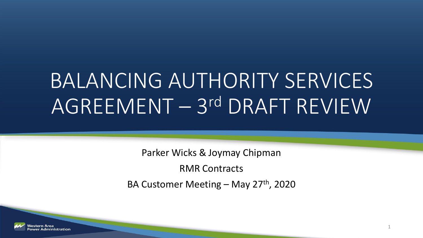# BALANCING AUTHORITY SERVICES AGREEMENT – 3rd DRAFT REVIEW

Parker Wicks & Joymay Chipman

RMR Contracts

BA Customer Meeting – May  $27<sup>th</sup>$ , 2020

1

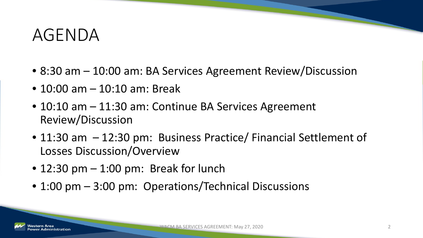#### AGENDA

- 8:30 am 10:00 am: BA Services Agreement Review/Discussion
- 10:00 am 10:10 am: Break
- 10:10 am 11:30 am: Continue BA Services Agreement Review/Discussion
- 11:30 am 12:30 pm: Business Practice/ Financial Settlement of Losses Discussion/Overview
- $\bullet$  12:30 pm  $-$  1:00 pm: Break for lunch
- 1:00 pm 3:00 pm: Operations/Technical Discussions

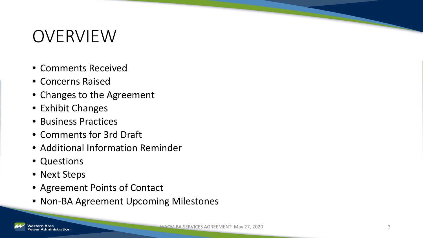# OVERVIEW

- Comments Received
- Concerns Raised
- Changes to the Agreement
- Exhibit Changes
- Business Practices
- Comments for 3rd Draft
- Additional Information Reminder
- Questions
- Next Steps
- Agreement Points of Contact
- Non-BA Agreement Upcoming Milestones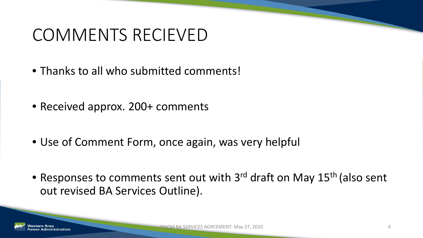#### COMMENTS RECIEVED

- Thanks to all who submitted comments!
- Received approx. 200+ comments
- Use of Comment Form, once again, was very helpful
- Responses to comments sent out with 3<sup>rd</sup> draft on May 15<sup>th</sup> (also sent out revised BA Services Outline).

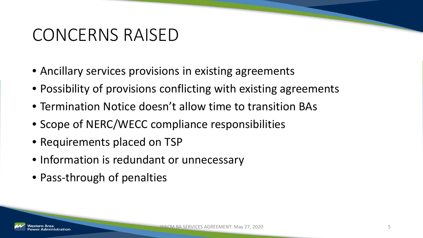#### CONCERNS RAISED

- Ancillary services provisions in existing agreements
- Possibility of provisions conflicting with existing agreements
- Termination Notice doesn't allow time to transition BAs
- Scope of NERC/WECC compliance responsibilities
- Requirements placed on TSP
- Information is redundant or unnecessary
- Pass-through of penalties

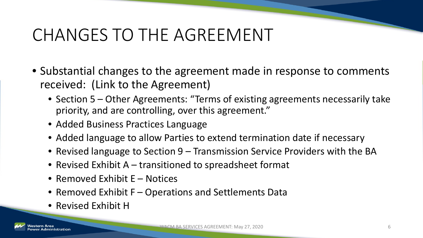# CHANGES TO THE AGREEMENT

- Substantial changes to the agreement made in response to comments received: (Link to the Agreement)
	- Section 5 Other Agreements: "Terms of existing agreements necessarily take priority, and are controlling, over this agreement."
	- Added Business Practices Language
	- Added language to allow Parties to extend termination date if necessary
	- Revised language to Section 9 Transmission Service Providers with the BA
	- Revised Exhibit A transitioned to spreadsheet format
	- Removed Exhibit E Notices
	- Removed Exhibit F Operations and Settlements Data
	- Revised Exhibit H

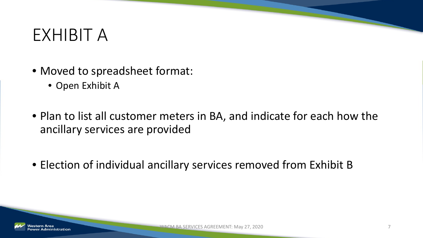#### EXHIBIT A

- Moved to spreadsheet format:
	- Open Exhibit A
- Plan to list all customer meters in BA, and indicate for each how the ancillary services are provided
- Election of individual ancillary services removed from Exhibit B

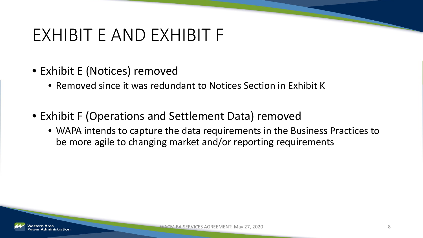#### EXHIBIT E AND EXHIBIT F

- Exhibit E (Notices) removed
	- Removed since it was redundant to Notices Section in Exhibit K
- Exhibit F (Operations and Settlement Data) removed
	- WAPA intends to capture the data requirements in the Business Practices to be more agile to changing market and/or reporting requirements

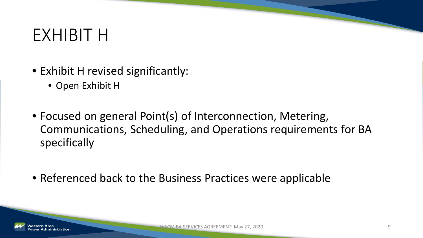#### EXHIBIT H

- Exhibit H revised significantly:
	- Open Exhibit H
- Focused on general Point(s) of Interconnection, Metering, Communications, Scheduling, and Operations requirements for BA specifically
- Referenced back to the Business Practices were applicable

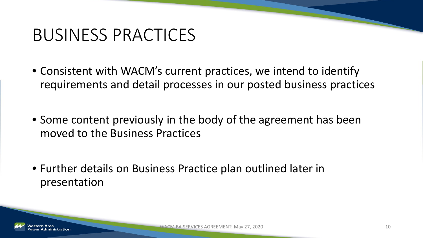#### BUSINESS PRACTICES

- Consistent with WACM's current practices, we intend to identify requirements and detail processes in our posted business practices
- Some content previously in the body of the agreement has been moved to the Business Practices
- Further details on Business Practice plan outlined later in presentation

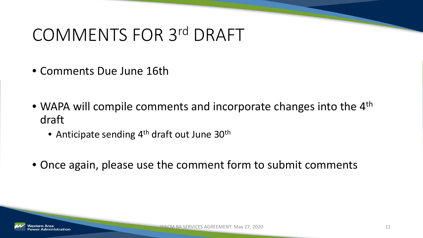# COMMENTS FOR 3rd DRAFT

- Comments Due June 16th
- WAPA will compile comments and incorporate changes into the 4<sup>th</sup> draft
	- Anticipate sending 4<sup>th</sup> draft out June 30<sup>th</sup>
- Once again, please use the comment form to submit comments

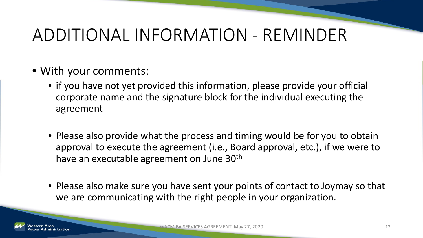# ADDITIONAL INFORMATION - REMINDER

- With your comments:
	- if you have not yet provided this information, please provide your official corporate name and the signature block for the individual executing the agreement
	- Please also provide what the process and timing would be for you to obtain approval to execute the agreement (i.e., Board approval, etc.), if we were to have an executable agreement on June 30<sup>th</sup>
	- Please also make sure you have sent your points of contact to Joymay so that we are communicating with the right people in your organization.

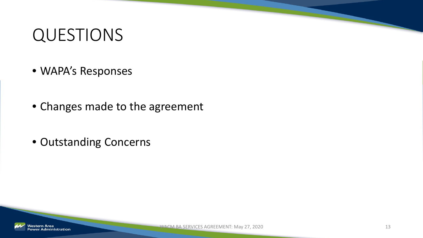#### QUESTIONS

- WAPA's Responses
- Changes made to the agreement
- Outstanding Concerns

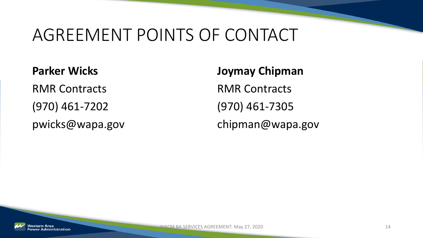#### AGREEMENT POINTS OF CONTACT

**Parker Wicks** RMR Contracts (970) 461-7202 pwicks@wapa.gov **Joymay Chipman** RMR Contracts (970) 461-7305 chipman@wapa.gov

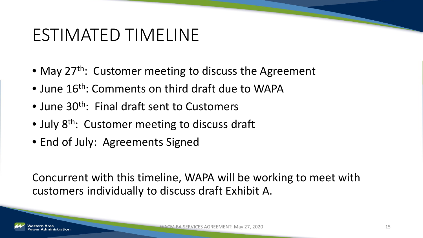#### ESTIMATED TIMELINE

- May 27<sup>th</sup>: Customer meeting to discuss the Agreement
- June 16<sup>th</sup>: Comments on third draft due to WAPA
- June 30<sup>th</sup>: Final draft sent to Customers
- July 8<sup>th</sup>: Customer meeting to discuss draft
- End of July: Agreements Signed

Concurrent with this timeline, WAPA will be working to meet with customers individually to discuss draft Exhibit A.

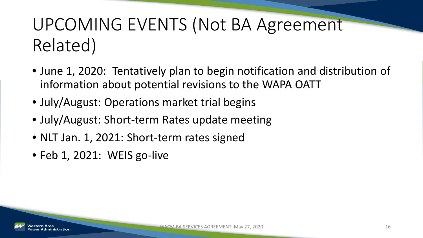# UPCOMING EVENTS (Not BA Agreement Related)

- June 1, 2020: Tentatively plan to begin notification and distribution of information about potential revisions to the WAPA OATT
- July/August: Operations market trial begins
- July/August: Short-term Rates update meeting
- NLT Jan. 1, 2021: Short-term rates signed
- Feb 1, 2021: WEIS go-live

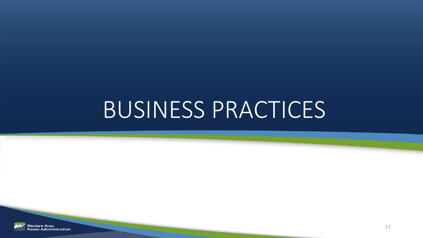# BUSINESS PRACTICES

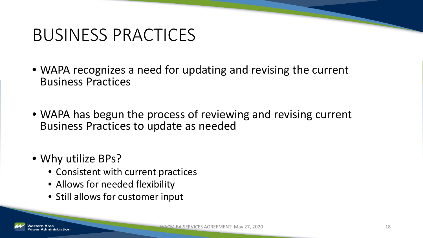# BUSINESS PRACTICES

- WAPA recognizes a need for updating and revising the current Business Practices
- WAPA has begun the process of reviewing and revising current Business Practices to update as needed
- Why utilize BPs?
	- Consistent with current practices
	- Allows for needed flexibility
	- Still allows for customer input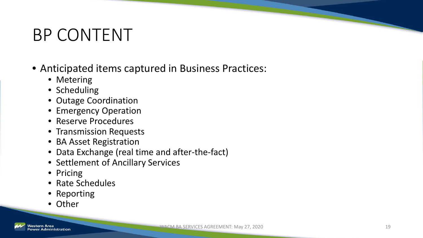# BP CONTENT

- Anticipated items captured in Business Practices:
	- Metering
	- Scheduling
	- Outage Coordination
	- Emergency Operation
	- Reserve Procedures
	- Transmission Requests
	- BA Asset Registration
	- Data Exchange (real time and after-the-fact)
	- Settlement of Ancillary Services
	- Pricing
	- Rate Schedules
	- Reporting
	- Other

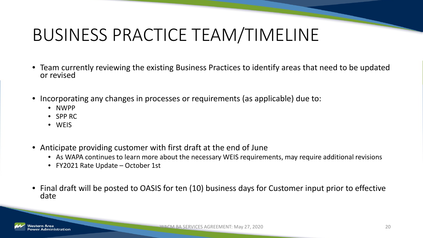# BUSINESS PRACTICE TEAM/TIMELINE

- Team currently reviewing the existing Business Practices to identify areas that need to be updated or revised
- Incorporating any changes in processes or requirements (as applicable) due to:
	- NWPP
	- SPP RC
	- WEIS
- Anticipate providing customer with first draft at the end of June
	- As WAPA continues to learn more about the necessary WEIS requirements, may require additional revisions
	- FY2021 Rate Update October 1st
- Final draft will be posted to OASIS for ten (10) business days for Customer input prior to effective date

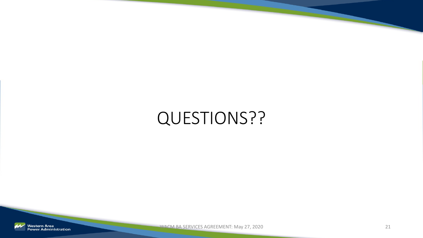# QUESTIONS??

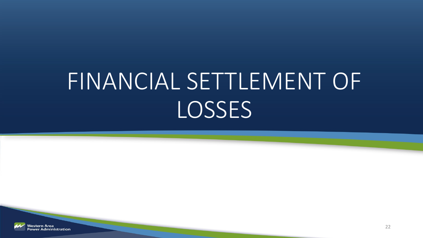# FINANCIAL SETTLEMENT OF LOSSES

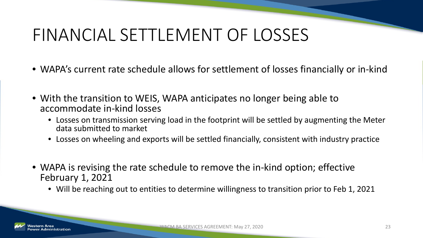# FINANCIAL SETTLEMENT OF LOSSES

- WAPA's current rate schedule allows for settlement of losses financially or in-kind
- With the transition to WEIS, WAPA anticipates no longer being able to accommodate in-kind losses
	- Losses on transmission serving load in the footprint will be settled by augmenting the Meter data submitted to market
	- Losses on wheeling and exports will be settled financially, consistent with industry practice
- WAPA is revising the rate schedule to remove the in-kind option; effective February 1, 2021
	- Will be reaching out to entities to determine willingness to transition prior to Feb 1, 2021